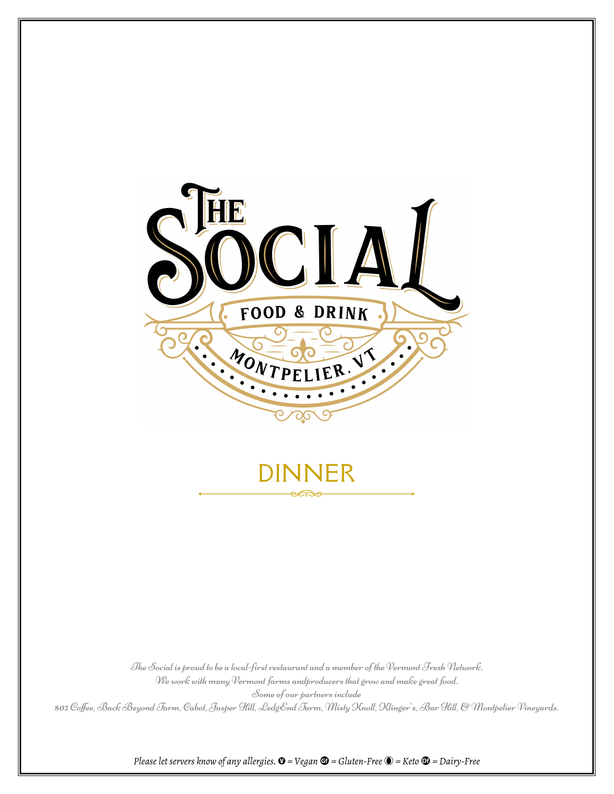

The Social is proud to be a local-first restaurant and a member of the Vermont Fresh Network. We work with many Vermont farms andproducers that grow and make great food. Some of our partners include 802 Coffee, Back Beyond Farm, Cabot, Jasper Hill, LedgEnd Farm, Misty Knoll, Klinger's, Bar Hill, & Montpelier Vineyards.

*Please let servers know of any allergies.*  $\mathbf{O}$  = *Vegan*  $\mathbf{G}$  = *Gluten-Free*  $\mathbf{O}$  = *Keto*  $\mathbf{O}$  = *Dairy-Free*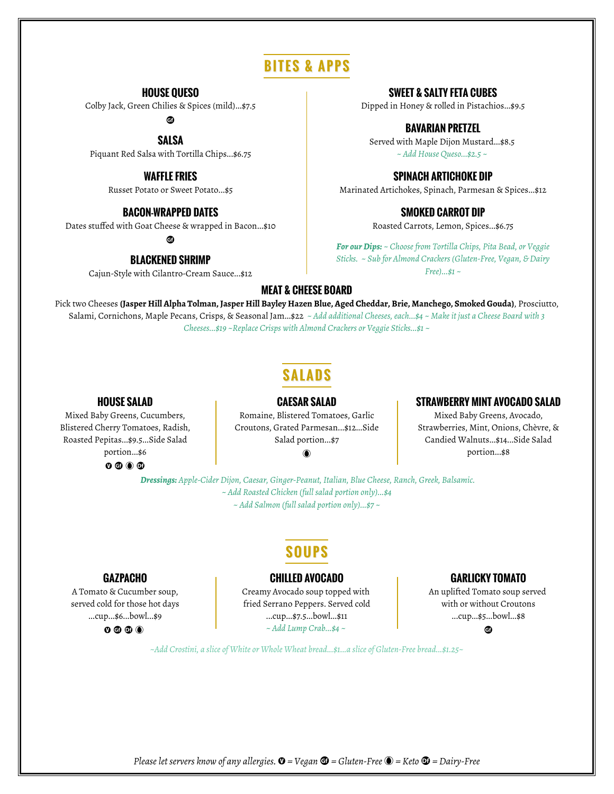# **BITES & APPS**

#### **HOUSE QUESO**

Colby Jack, Green Chilies & Spices (mild)...\$7.5

u

**SALSA**

Piquant Red Salsa with Tortilla Chips...\$6.75

#### **WAFFLE FRIES**

Russet Potato or Sweet Potato...\$5

#### **BACON-WRAPPED DATES**

Dates stuffed with Goat Cheese & wrapped in Bacon...\$10

ඖ

#### **BLACKENED SHRIMP**

Cajun-Style with Cilantro-Cream Sauce...\$12

#### **SWEET & SALTY FETA CUBES**

Dipped in Honey & rolled in Pistachios...\$9.5

#### **BAVARIAN PRETZEL**

Served with Maple Dijon Mustard...\$8.5 *~ Add House Queso...\$2.5 ~*

#### **SPINACH ARTICHOKE DIP**

Marinated Artichokes, Spinach, Parmesan & Spices...\$12

#### **SMOKED CARROT DIP**

Roasted Carrots, Lemon, Spices...\$6.75

*For our Dips: ~ Choose from Tortilla Chips, Pita Bead, or Veggie Sticks. ~ Sub for Almond Crackers (Gluten-Free, Vegan, & Dairy Free)...\$1 ~*

#### **MEAT & CHEESE BOARD**

Pick two Cheeses **(Jasper Hill Alpha Tolman, Jasper Hill Bayley Hazen Blue, Aged Cheddar, Brie, Manchego, Smoked Gouda)**, Prosciutto, Salami, Cornichons, Maple Pecans, Crisps, & Seasonal Jam...\$22 *~ Add additional Cheeses, each...\$4 ~ Make it just a Cheese Board with 3 Cheeses...\$19 ~Replace Crisps with Almond Crackers or Veggie Sticks...\$1 ~*

# **SALADS**

**CAESAR SALAD**

#### **HOUSE SALAD**

Mixed Baby Greens, Cucumbers, Blistered Cherry Tomatoes, Radish, Roasted Pepitas...\$9.5...Side Salad portion...\$6  $0 0 0 0$ 

Romaine, Blistered Tomatoes, Garlic Croutons, Grated Parmesan...\$12...Side Salad portion...\$7

#### $^{\circ}$

#### **STRAWBERRY MINT AVOCADO SALAD**

Mixed Baby Greens, Avocado, Strawberries, Mint, Onions, Chèvre, & Candied Walnuts...\$14...Side Salad portion...\$8

*Dressings: Apple-Cider Dijon, Caesar, Ginger-Peanut, Italian, Blue Cheese, Ranch, Greek, Balsamic. ~ Add Roasted Chicken (full salad portion only)...\$4 ~ Add Salmon (full salad portion only)...\$7 ~*

## **SOUPS**

#### **GAZPACHO**

A Tomato & Cucumber soup, served cold for those hot days ...cup...\$6...bowl...\$9

 $0 0 0 0$ 

#### **CHILLED AVOCADO**

Creamy Avocado soup topped with fried Serrano Peppers. Served cold ...cup...\$7.5...bowl...\$11 *~ Add Lump Crab...\$4 ~*

#### **GARLICKY TOMATO**

An uplifted Tomato soup served with or without Croutons ...cup...\$5...bowl...\$8 e.

*~Add Crostini, a slice of White or Whole Wheat bread...\$1...a slice of Gluten-Free bread...\$1.25~*

*Please let servers know of any allergies.*  $\mathbf{0}$  = Vegan  $\mathbf{G}$  = Gluten-Free  $\mathbf{O}$  = Keto  $\mathbf{O}$  = Dairy-Free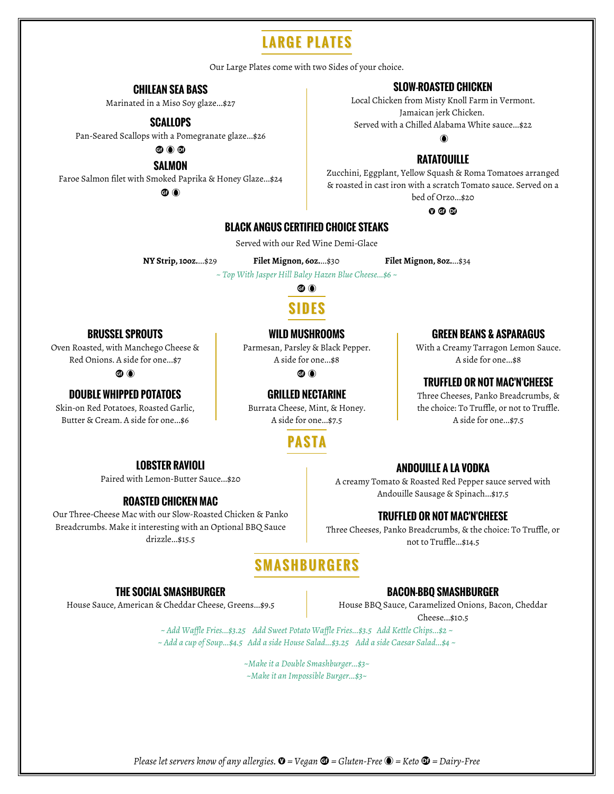# **LARGE PLATES**

Our Large Plates come with two Sides of your choice.

#### **CHILEAN SEA BASS**

Marinated in a Miso Soy glaze...\$27

#### **SCALLOPS**

Pan-Seared Scallops with a Pomegranate glaze...\$26

60 O

**SALMON** 

Faroe Salmon filet with Smoked Paprika & Honey Glaze... \$24

60 O

#### **SLOW-ROASTED CHICKEN**

Local Chicken from Misty Knoll Farm in Vermont. Jamaican jerk Chicken. Served with a Chilled Alabama White sauce...\$22

### **RATATOUILLE**

Zucchini, Eggplant, Yellow Squash & Roma Tomatoes arranged & roasted in cast iron with a scratch Tomato sauce. Served on a bed of Orzo...\$20

 $0 0 0$ 

#### **BLACK ANGUS CERTIFIED CHOICE STEAKS**

Served with our Red Wine Demi-Glace

NY Strip, 100z....\$29

Filet Mignon, 60z....\$30 Filet Mignon, 80z....\$34

~ Top With Jasper Hill Baley Hazen Blue Cheese...\$6 ~

6 O

#### **WILD MUSHROOMS**

Parmesan, Parsley & Black Pepper. A side for one...\$8

A side for one...\$7.5

Burrata Cheese, Mint, & Honey.

#### **ANDOUILLE A LA VODKA**

**GREEN BEANS & ASPARAGUS** 

With a Creamy Tarragon Lemon Sauce.

A side for one...\$8

**TRUFFLED OR NOT MAC'N'CHEESE** 

Three Cheeses, Panko Breadcrumbs, & the choice: To Truffle, or not to Truffle.

A side for one...\$7.5

A creamy Tomato & Roasted Red Pepper sauce served with Andouille Sausage & Spinach...\$17.5

#### **TRUFFLED OR NOT MAC'N'CHEESE**

Three Cheeses, Panko Breadcrumbs, & the choice: To Truffle, or not to Truffle...\$14.5

# **SMASHBURGERS**

#### **THE SOCIAL SMASHBURGER**

**LOBSTER RAVIOLI** 

Paired with Lemon-Butter Sauce...\$20

**ROASTED CHICKEN MAC** Our Three-Cheese Mac with our Slow-Roasted Chicken & Panko

Breadcrumbs. Make it interesting with an Optional BBQ Sauce

drizzle...\$15.5

House Sauce, American & Cheddar Cheese, Greens...\$9.5

#### **BACON-BBO SMASHBURGER**

House BBQ Sauce, Caramelized Onions, Bacon, Cheddar Cheese...\$10.5

~ Add Waffle Fries...\$3.25 Add Sweet Potato Waffle Fries...\$3.5 Add Kettle Chips...\$2 ~ ~ Add a cup of Soup...\$4.5 Add a side House Salad...\$3.25 Add a side Caesar Salad...\$4 ~

> ~Make it a Double Smashburger...\$3~ ~Make it an Impossible Burger...\$3~

### **BRUSSEL SPROUTS**

Oven Roasted, with Manchego Cheese & Red Onions. A side for one...\$7

#### 60 O

#### **DOUBLE WHIPPED POTATOES**

Skin-on Red Potatoes, Roasted Garlic, Butter & Cream. A side for one...\$6

**PASTA** 

# 60 O

**GRILLED NECTARINE** 

Please let servers know of any allergies.  $\mathbf{\Phi}$  = Vegan  $\mathbf{\mathbf{\Phi}}$  = Gluten-Free  $\mathbf{\mathbf{\mathbb{O}}}$  = Keto  $\mathbf{\mathbf{\Phi}}$  = Dairy-Free